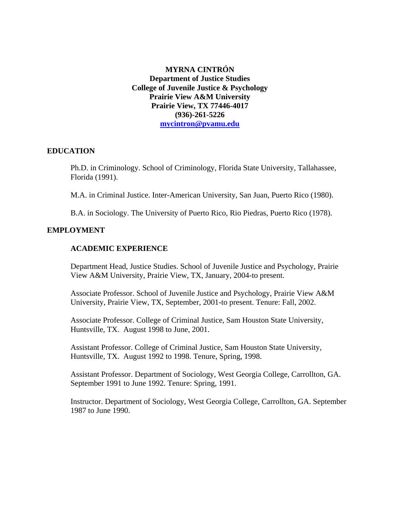# **MYRNA CINTRÓN Department of Justice Studies College of Juvenile Justice & Psychology Prairie View A&M University Prairie View, TX 77446-4017 (936)-261-5226 [mycintron@pvamu.edu](mailto:mycintron@pvamu.edu)**

## **EDUCATION**

Ph.D. in Criminology. School of Criminology, Florida State University, Tallahassee, Florida (1991).

M.A. in Criminal Justice. Inter-American University, San Juan, Puerto Rico (1980).

B.A. in Sociology. The University of Puerto Rico, Rio Piedras, Puerto Rico (1978).

## **EMPLOYMENT**

## **ACADEMIC EXPERIENCE**

 Department Head, Justice Studies. School of Juvenile Justice and Psychology, Prairie View A&M University, Prairie View, TX, January, 2004-to present.

Associate Professor. School of Juvenile Justice and Psychology, Prairie View A&M University, Prairie View, TX, September, 2001-to present. Tenure: Fall, 2002.

Associate Professor. College of Criminal Justice, Sam Houston State University, Huntsville, TX. August 1998 to June, 2001.

 Assistant Professor. College of Criminal Justice, Sam Houston State University, Huntsville, TX. August 1992 to 1998. Tenure, Spring, 1998.

 Assistant Professor. Department of Sociology, West Georgia College, Carrollton, GA. September 1991 to June 1992. Tenure: Spring, 1991.

 Instructor. Department of Sociology, West Georgia College, Carrollton, GA. September 1987 to June 1990.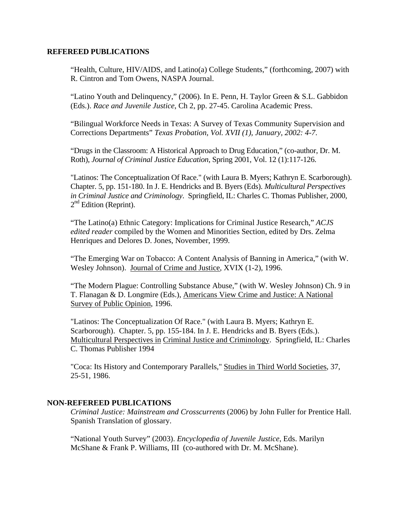### **REFEREED PUBLICATIONS**

"Health, Culture, HIV/AIDS, and Latino(a) College Students," (forthcoming, 2007) with R. Cintron and Tom Owens, NASPA Journal.

 "Latino Youth and Delinquency," (2006). In E. Penn, H. Taylor Green & S.L. Gabbidon (Eds.). *Race and Juvenile Justice*, Ch 2, pp. 27-45. Carolina Academic Press.

 "Bilingual Workforce Needs in Texas: A Survey of Texas Community Supervision and Corrections Departments" *Texas Probation, Vol. XVII (1), January, 2002: 4-7*.

 "Drugs in the Classroom: A Historical Approach to Drug Education," (co-author, Dr. M. Roth), *Journal of Criminal Justice Education*, Spring 2001, Vol. 12 (1):117-126.

"Latinos: The Conceptualization Of Race." (with Laura B. Myers; Kathryn E. Scarborough). Chapter. 5, pp. 151-180. In J. E. Hendricks and B. Byers (Eds). *Multicultural Perspectives in Criminal Justice and Criminology*. Springfield, IL: Charles C. Thomas Publisher, 2000,  $2<sup>nd</sup>$  Edition (Reprint).

"The Latino(a) Ethnic Category: Implications for Criminal Justice Research," *ACJS edited reader* compiled by the Women and Minorities Section, edited by Drs. Zelma Henriques and Delores D. Jones, November, 1999.

"The Emerging War on Tobacco: A Content Analysis of Banning in America," (with W. Wesley Johnson). Journal of Crime and Justice, XVIX (1-2), 1996.

 "The Modern Plague: Controlling Substance Abuse," (with W. Wesley Johnson) Ch. 9 in T. Flanagan & D. Longmire (Eds.), Americans View Crime and Justice: A National Survey of Public Opinion, 1996.

 "Latinos: The Conceptualization Of Race." (with Laura B. Myers; Kathryn E. Scarborough). Chapter. 5, pp. 155-184. In J. E. Hendricks and B. Byers (Eds.). Multicultural Perspectives in Criminal Justice and Criminology. Springfield, IL: Charles C. Thomas Publisher 1994

 "Coca: Its History and Contemporary Parallels," Studies in Third World Societies, 37, 25-51, 1986.

## **NON-REFEREED PUBLICATIONS**

*Criminal Justice: Mainstream and Crosscurrents* (2006) by John Fuller for Prentice Hall. Spanish Translation of glossary.

"National Youth Survey" (2003). *Encyclopedia of Juvenile Justice*, Eds. Marilyn McShane & Frank P. Williams, III (co-authored with Dr. M. McShane).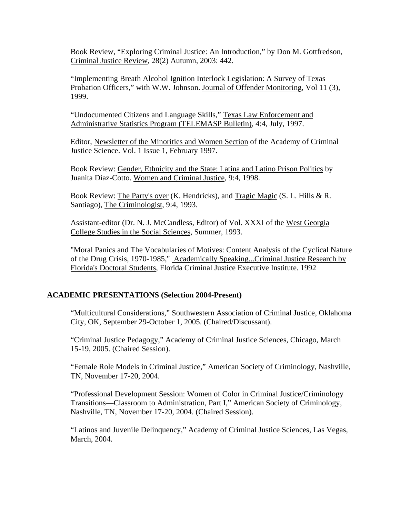Book Review, "Exploring Criminal Justice: An Introduction," by Don M. Gottfredson, Criminal Justice Review, 28(2) Autumn, 2003: 442.

"Implementing Breath Alcohol Ignition Interlock Legislation: A Survey of Texas Probation Officers," with W.W. Johnson. Journal of Offender Monitoring, Vol 11 (3), 1999.

"Undocumented Citizens and Language Skills," Texas Law Enforcement and Administrative Statistics Program (TELEMASP Bulletin), 4:4, July, 1997.

 Editor, Newsletter of the Minorities and Women Section of the Academy of Criminal Justice Science. Vol. 1 Issue 1, February 1997.

 Book Review: Gender, Ethnicity and the State: Latina and Latino Prison Politics by Juanita Díaz-Cotto. Women and Criminal Justice, 9:4, 1998.

 Book Review: The Party's over (K. Hendricks), and Tragic Magic (S. L. Hills & R. Santiago), The Criminologist, 9:4, 1993.

 Assistant-editor (Dr. N. J. McCandless, Editor) of Vol. XXXI of the West Georgia College Studies in the Social Sciences, Summer, 1993.

 "Moral Panics and The Vocabularies of Motives: Content Analysis of the Cyclical Nature of the Drug Crisis, 1970-1985," Academically Speaking...Criminal Justice Research by Florida's Doctoral Students, Florida Criminal Justice Executive Institute. 1992

# **ACADEMIC PRESENTATIONS (Selection 2004-Present)**

"Multicultural Considerations," Southwestern Association of Criminal Justice, Oklahoma City, OK, September 29-October 1, 2005. (Chaired/Discussant).

"Criminal Justice Pedagogy," Academy of Criminal Justice Sciences, Chicago, March 15-19, 2005. (Chaired Session).

"Female Role Models in Criminal Justice," American Society of Criminology, Nashville, TN, November 17-20, 2004.

"Professional Development Session: Women of Color in Criminal Justice/Criminology Transitions—Classroom to Administration, Part I," American Society of Criminology, Nashville, TN, November 17-20, 2004. (Chaired Session).

"Latinos and Juvenile Delinquency," Academy of Criminal Justice Sciences, Las Vegas, March, 2004.